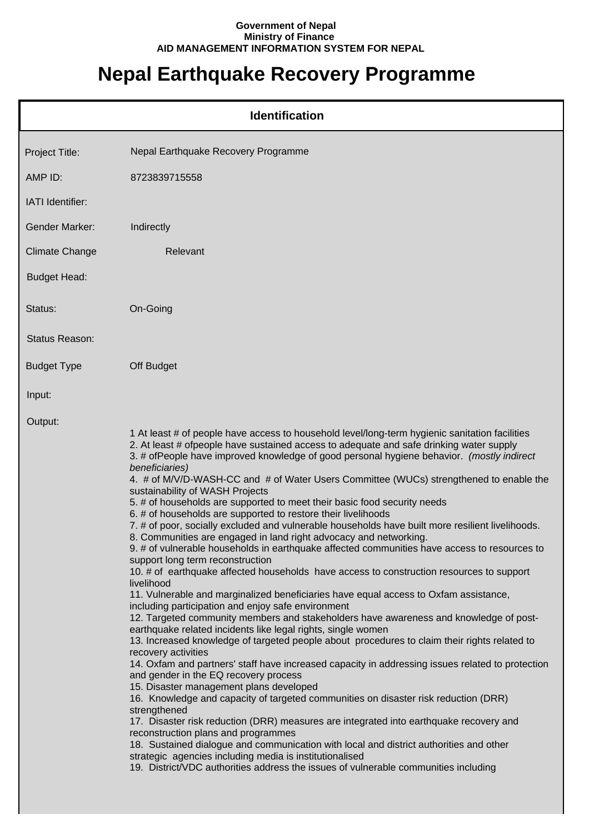## **Government of Nepal Ministry of Finance AID MANAGEMENT INFORMATION SYSTEM FOR NEPAL**

## **Nepal Earthquake Recovery Programme**

|                       | <b>Identification</b>                                                                                                                                                                                                                                                                                                                                                                                                                                                                                                                                                                                                                                                                                                                                                                                                                                                                                                                                                                                                                                                                                                                                                                                                                                                                                                                                                                                                                                                                                                                                                                                                                                                                                                                                                                                                                                                                                                                                                                                                                                                                                               |
|-----------------------|---------------------------------------------------------------------------------------------------------------------------------------------------------------------------------------------------------------------------------------------------------------------------------------------------------------------------------------------------------------------------------------------------------------------------------------------------------------------------------------------------------------------------------------------------------------------------------------------------------------------------------------------------------------------------------------------------------------------------------------------------------------------------------------------------------------------------------------------------------------------------------------------------------------------------------------------------------------------------------------------------------------------------------------------------------------------------------------------------------------------------------------------------------------------------------------------------------------------------------------------------------------------------------------------------------------------------------------------------------------------------------------------------------------------------------------------------------------------------------------------------------------------------------------------------------------------------------------------------------------------------------------------------------------------------------------------------------------------------------------------------------------------------------------------------------------------------------------------------------------------------------------------------------------------------------------------------------------------------------------------------------------------------------------------------------------------------------------------------------------------|
| Project Title:        | Nepal Earthquake Recovery Programme                                                                                                                                                                                                                                                                                                                                                                                                                                                                                                                                                                                                                                                                                                                                                                                                                                                                                                                                                                                                                                                                                                                                                                                                                                                                                                                                                                                                                                                                                                                                                                                                                                                                                                                                                                                                                                                                                                                                                                                                                                                                                 |
| AMP ID:               | 8723839715558                                                                                                                                                                                                                                                                                                                                                                                                                                                                                                                                                                                                                                                                                                                                                                                                                                                                                                                                                                                                                                                                                                                                                                                                                                                                                                                                                                                                                                                                                                                                                                                                                                                                                                                                                                                                                                                                                                                                                                                                                                                                                                       |
| IATI Identifier:      |                                                                                                                                                                                                                                                                                                                                                                                                                                                                                                                                                                                                                                                                                                                                                                                                                                                                                                                                                                                                                                                                                                                                                                                                                                                                                                                                                                                                                                                                                                                                                                                                                                                                                                                                                                                                                                                                                                                                                                                                                                                                                                                     |
| <b>Gender Marker:</b> | Indirectly                                                                                                                                                                                                                                                                                                                                                                                                                                                                                                                                                                                                                                                                                                                                                                                                                                                                                                                                                                                                                                                                                                                                                                                                                                                                                                                                                                                                                                                                                                                                                                                                                                                                                                                                                                                                                                                                                                                                                                                                                                                                                                          |
| <b>Climate Change</b> | Relevant                                                                                                                                                                                                                                                                                                                                                                                                                                                                                                                                                                                                                                                                                                                                                                                                                                                                                                                                                                                                                                                                                                                                                                                                                                                                                                                                                                                                                                                                                                                                                                                                                                                                                                                                                                                                                                                                                                                                                                                                                                                                                                            |
| <b>Budget Head:</b>   |                                                                                                                                                                                                                                                                                                                                                                                                                                                                                                                                                                                                                                                                                                                                                                                                                                                                                                                                                                                                                                                                                                                                                                                                                                                                                                                                                                                                                                                                                                                                                                                                                                                                                                                                                                                                                                                                                                                                                                                                                                                                                                                     |
| Status:               | On-Going                                                                                                                                                                                                                                                                                                                                                                                                                                                                                                                                                                                                                                                                                                                                                                                                                                                                                                                                                                                                                                                                                                                                                                                                                                                                                                                                                                                                                                                                                                                                                                                                                                                                                                                                                                                                                                                                                                                                                                                                                                                                                                            |
| <b>Status Reason:</b> |                                                                                                                                                                                                                                                                                                                                                                                                                                                                                                                                                                                                                                                                                                                                                                                                                                                                                                                                                                                                                                                                                                                                                                                                                                                                                                                                                                                                                                                                                                                                                                                                                                                                                                                                                                                                                                                                                                                                                                                                                                                                                                                     |
| <b>Budget Type</b>    | Off Budget                                                                                                                                                                                                                                                                                                                                                                                                                                                                                                                                                                                                                                                                                                                                                                                                                                                                                                                                                                                                                                                                                                                                                                                                                                                                                                                                                                                                                                                                                                                                                                                                                                                                                                                                                                                                                                                                                                                                                                                                                                                                                                          |
| Input:                |                                                                                                                                                                                                                                                                                                                                                                                                                                                                                                                                                                                                                                                                                                                                                                                                                                                                                                                                                                                                                                                                                                                                                                                                                                                                                                                                                                                                                                                                                                                                                                                                                                                                                                                                                                                                                                                                                                                                                                                                                                                                                                                     |
| Output:               | 1 At least # of people have access to household level/long-term hygienic sanitation facilities<br>2. At least # ofpeople have sustained access to adequate and safe drinking water supply<br>3. # ofPeople have improved knowledge of good personal hygiene behavior. (mostly indirect<br>beneficiaries)<br>4. # of M/V/D-WASH-CC and # of Water Users Committee (WUCs) strengthened to enable the<br>sustainability of WASH Projects<br>5. # of households are supported to meet their basic food security needs<br>6. # of households are supported to restore their livelihoods<br>7. # of poor, socially excluded and vulnerable households have built more resilient livelihoods.<br>8. Communities are engaged in land right advocacy and networking.<br>9. # of vulnerable households in earthquake affected communities have access to resources to<br>support long term reconstruction<br>10. # of earthquake affected households have access to construction resources to support<br>livelihood<br>11. Vulnerable and marginalized beneficiaries have equal access to Oxfam assistance,<br>including participation and enjoy safe environment<br>12. Targeted community members and stakeholders have awareness and knowledge of post-<br>earthquake related incidents like legal rights, single women<br>13. Increased knowledge of targeted people about procedures to claim their rights related to<br>recovery activities<br>14. Oxfam and partners' staff have increased capacity in addressing issues related to protection<br>and gender in the EQ recovery process<br>15. Disaster management plans developed<br>16. Knowledge and capacity of targeted communities on disaster risk reduction (DRR)<br>strengthened<br>17. Disaster risk reduction (DRR) measures are integrated into earthquake recovery and<br>reconstruction plans and programmes<br>18. Sustained dialogue and communication with local and district authorities and other<br>strategic agencies including media is institutionalised<br>19. District/VDC authorities address the issues of vulnerable communities including |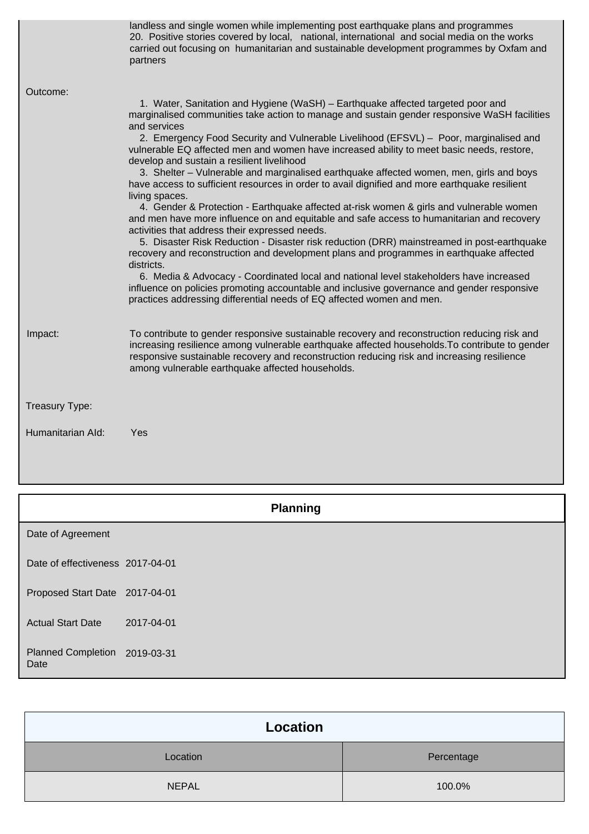|                   | landless and single women while implementing post earthquake plans and programmes<br>20. Positive stories covered by local, national, international and social media on the works<br>carried out focusing on humanitarian and sustainable development programmes by Oxfam and<br>partners                                                        |
|-------------------|--------------------------------------------------------------------------------------------------------------------------------------------------------------------------------------------------------------------------------------------------------------------------------------------------------------------------------------------------|
| Outcome:          |                                                                                                                                                                                                                                                                                                                                                  |
|                   | 1. Water, Sanitation and Hygiene (WaSH) - Earthquake affected targeted poor and<br>marginalised communities take action to manage and sustain gender responsive WaSH facilities<br>and services                                                                                                                                                  |
|                   | 2. Emergency Food Security and Vulnerable Livelihood (EFSVL) - Poor, marginalised and<br>vulnerable EQ affected men and women have increased ability to meet basic needs, restore,<br>develop and sustain a resilient livelihood                                                                                                                 |
|                   | 3. Shelter – Vulnerable and marginalised earthquake affected women, men, girls and boys<br>have access to sufficient resources in order to avail dignified and more earthquake resilient<br>living spaces.                                                                                                                                       |
|                   | 4. Gender & Protection - Earthquake affected at-risk women & girls and vulnerable women<br>and men have more influence on and equitable and safe access to humanitarian and recovery<br>activities that address their expressed needs.                                                                                                           |
|                   | 5. Disaster Risk Reduction - Disaster risk reduction (DRR) mainstreamed in post-earthquake<br>recovery and reconstruction and development plans and programmes in earthquake affected<br>districts.                                                                                                                                              |
|                   | 6. Media & Advocacy - Coordinated local and national level stakeholders have increased<br>influence on policies promoting accountable and inclusive governance and gender responsive<br>practices addressing differential needs of EQ affected women and men.                                                                                    |
| Impact:           | To contribute to gender responsive sustainable recovery and reconstruction reducing risk and<br>increasing resilience among vulnerable earthquake affected households. To contribute to gender<br>responsive sustainable recovery and reconstruction reducing risk and increasing resilience<br>among vulnerable earthquake affected households. |
| Treasury Type:    |                                                                                                                                                                                                                                                                                                                                                  |
| Humanitarian Ald: | Yes                                                                                                                                                                                                                                                                                                                                              |
|                   |                                                                                                                                                                                                                                                                                                                                                  |

|                                       | <b>Planning</b> |
|---------------------------------------|-----------------|
| Date of Agreement                     |                 |
| Date of effectiveness 2017-04-01      |                 |
| Proposed Start Date 2017-04-01        |                 |
| <b>Actual Start Date</b>              | 2017-04-01      |
| Planned Completion 2019-03-31<br>Date |                 |

| Location     |            |  |
|--------------|------------|--|
| Location     | Percentage |  |
| <b>NEPAL</b> | 100.0%     |  |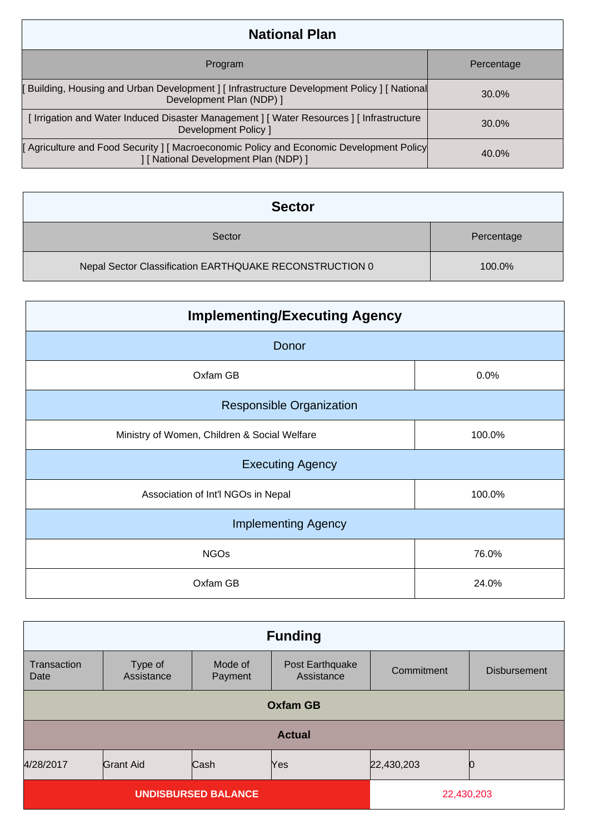| <b>National Plan</b>                                                                                                            |            |  |
|---------------------------------------------------------------------------------------------------------------------------------|------------|--|
| Program                                                                                                                         | Percentage |  |
| [Building, Housing and Urban Development] [Infrastructure Development Policy] [National<br>Development Plan (NDP) ]             | 30.0%      |  |
| [Irrigation and Water Induced Disaster Management ] [Water Resources ] [Infrastructure<br>Development Policy ]                  | 30.0%      |  |
| [Agriculture and Food Security ] [Macroeconomic Policy and Economic Development Policy<br>] [ National Development Plan (NDP) ] | 40.0%      |  |

| <b>Sector</b>                                           |            |
|---------------------------------------------------------|------------|
| Sector                                                  | Percentage |
| Nepal Sector Classification EARTHQUAKE RECONSTRUCTION 0 | $100.0\%$  |

| <b>Implementing/Executing Agency</b>         |        |  |
|----------------------------------------------|--------|--|
| Donor                                        |        |  |
| Oxfam GB                                     | 0.0%   |  |
| <b>Responsible Organization</b>              |        |  |
| Ministry of Women, Children & Social Welfare | 100.0% |  |
| <b>Executing Agency</b>                      |        |  |
| Association of Int'l NGOs in Nepal           | 100.0% |  |
| <b>Implementing Agency</b>                   |        |  |
| <b>NGOs</b>                                  | 76.0%  |  |
| Oxfam GB                                     | 24.0%  |  |

| <b>Funding</b>      |                       |                            |                               |            |                     |
|---------------------|-----------------------|----------------------------|-------------------------------|------------|---------------------|
| Transaction<br>Date | Type of<br>Assistance | Mode of<br>Payment         | Post Earthquake<br>Assistance | Commitment | <b>Disbursement</b> |
| <b>Oxfam GB</b>     |                       |                            |                               |            |                     |
| <b>Actual</b>       |                       |                            |                               |            |                     |
| 4/28/2017           | <b>Grant Aid</b>      | Cash                       | Yes                           | 22,430,203 |                     |
|                     |                       | <b>UNDISBURSED BALANCE</b> |                               | 22,430,203 |                     |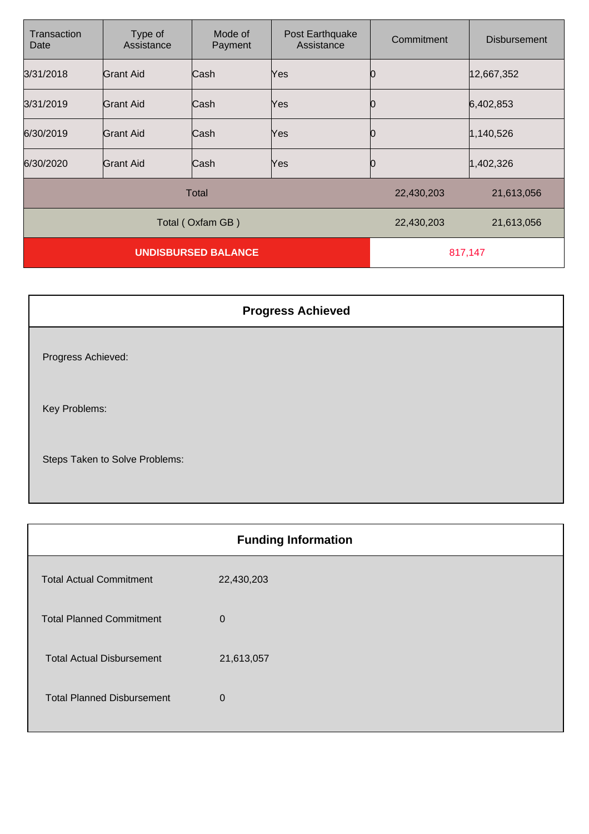| Transaction<br>Date        | Type of<br>Assistance | Mode of<br>Payment | Post Earthquake<br>Assistance | Commitment | <b>Disbursement</b> |
|----------------------------|-----------------------|--------------------|-------------------------------|------------|---------------------|
| 3/31/2018                  | Grant Aid             | Cash               | Yes                           |            | 12,667,352          |
| 3/31/2019                  | Grant Aid             | Cash               | Yes                           |            | 6,402,853           |
| 6/30/2019                  | Grant Aid             | lCash              | Yes                           |            | 1,140,526           |
| 6/30/2020                  | Grant Aid             | Cash               | Yes                           |            | 1,402,326           |
| Total                      |                       |                    | 22,430,203                    | 21,613,056 |                     |
|                            |                       | Total (Oxfam GB)   |                               | 22,430,203 | 21,613,056          |
| <b>UNDISBURSED BALANCE</b> |                       |                    | 817,147                       |            |                     |

| <b>Progress Achieved</b>       |
|--------------------------------|
| Progress Achieved:             |
| Key Problems:                  |
| Steps Taken to Solve Problems: |

| <b>Funding Information</b>        |                |  |
|-----------------------------------|----------------|--|
| <b>Total Actual Commitment</b>    | 22,430,203     |  |
| <b>Total Planned Commitment</b>   | $\overline{0}$ |  |
| <b>Total Actual Disbursement</b>  | 21,613,057     |  |
| <b>Total Planned Disbursement</b> | $\overline{0}$ |  |
|                                   |                |  |